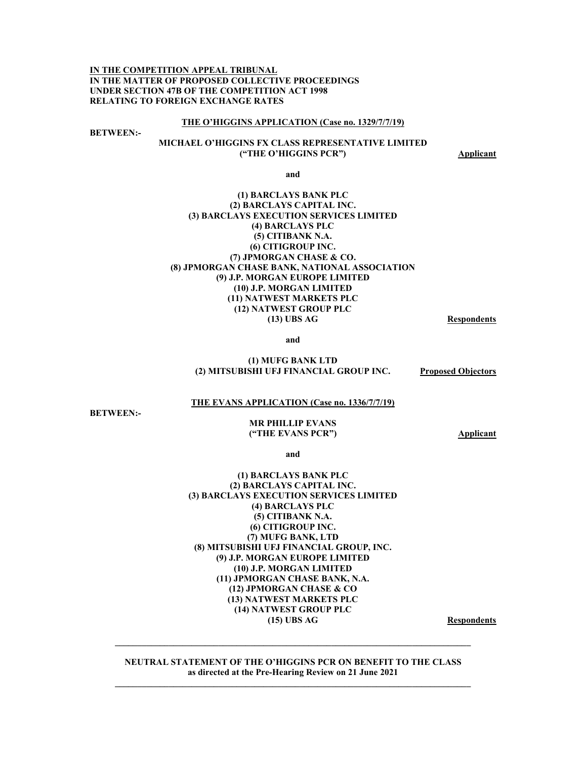**IN THE COMPETITION APPEAL TRIBUNAL IN THE MATTER OF PROPOSED COLLECTIVE PROCEEDINGS UNDER SECTION 47B OF THE COMPETITION ACT 1998 RELATING TO FOREIGN EXCHANGE RATES** 

#### **THE O'HIGGINS APPLICATION (Case no. 1329/7/7/19)**

**BETWEEN:-** 

### **MICHAEL O'HIGGINS FX CLASS REPRESENTATIVE LIMITED ("THE O'HIGGINS PCR")** Applicant

**and** 

### **(1) BARCLAYS BANK PLC (2) BARCLAYS CAPITAL INC. (3) BARCLAYS EXECUTION SERVICES LIMITED (4) BARCLAYS PLC (5) CITIBANK N.A. (6) CITIGROUP INC. (7) JPMORGAN CHASE & CO. (8) JPMORGAN CHASE BANK, NATIONAL ASSOCIATION (9) J.P. MORGAN EUROPE LIMITED (10) J.P. MORGAN LIMITED (11) NATWEST MARKETS PLC (12) NATWEST GROUP PLC (13) UBS AG Respondents**

**and** 

#### **(1) MUFG BANK LTD (2) MITSUBISHI UFJ FINANCIAL GROUP INC. Proposed Objectors**

#### **THE EVANS APPLICATION (Case no. 1336/7/7/19)**

**BETWEEN:-** 

#### **MR PHILLIP EVANS ("THE EVANS PCR") Applicant**

**and** 

### **(1) BARCLAYS BANK PLC (2) BARCLAYS CAPITAL INC. (3) BARCLAYS EXECUTION SERVICES LIMITED (4) BARCLAYS PLC (5) CITIBANK N.A. (6) CITIGROUP INC. (7) MUFG BANK, LTD (8) MITSUBISHI UFJ FINANCIAL GROUP, INC. (9) J.P. MORGAN EUROPE LIMITED (10) J.P. MORGAN LIMITED (11) JPMORGAN CHASE BANK, N.A. (12) JPMORGAN CHASE & CO (13) NATWEST MARKETS PLC (14) NATWEST GROUP PLC (15) UBS AG Respondents**

**NEUTRAL STATEMENT OF THE O'HIGGINS PCR ON BENEFIT TO THE CLASS as directed at the Pre-Hearing Review on 21 June 2021** 

 $\mathcal{L}_\mathcal{L} = \mathcal{L}_\mathcal{L}$  , where  $\mathcal{L}_\mathcal{L} = \mathcal{L}_\mathcal{L}$  , where  $\mathcal{L}_\mathcal{L} = \mathcal{L}_\mathcal{L}$  , where  $\mathcal{L}_\mathcal{L} = \mathcal{L}_\mathcal{L}$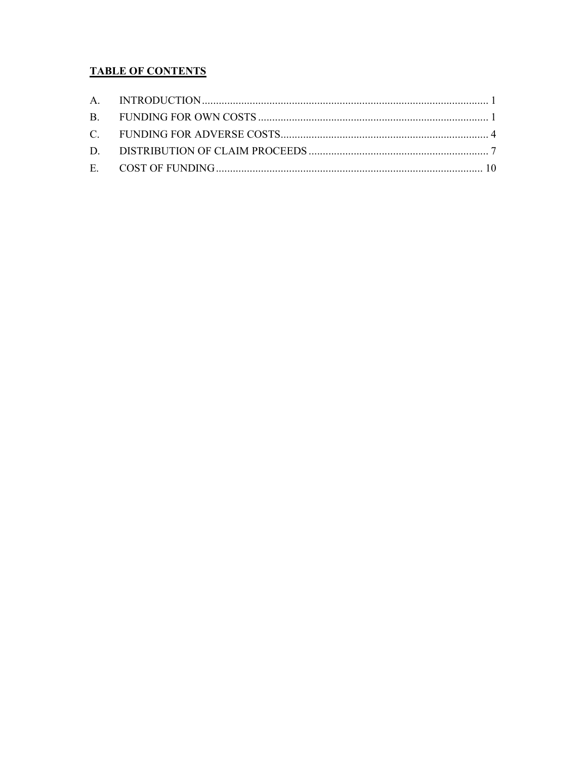# **TABLE OF CONTENTS**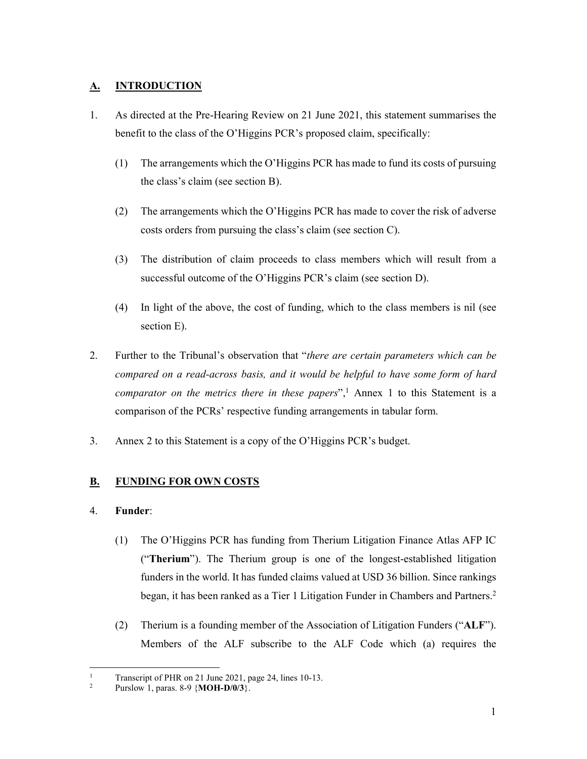## **A. INTRODUCTION**

- 1. As directed at the Pre-Hearing Review on 21 June 2021, this statement summarises the benefit to the class of the O'Higgins PCR's proposed claim, specifically:
	- (1) The arrangements which the O'Higgins PCR has made to fund its costs of pursuing the class's claim (see section B).
	- (2) The arrangements which the O'Higgins PCR has made to cover the risk of adverse costs orders from pursuing the class's claim (see section C).
	- (3) The distribution of claim proceeds to class members which will result from a successful outcome of the O'Higgins PCR's claim (see section D).
	- (4) In light of the above, the cost of funding, which to the class members is nil (see section E).
- 2. Further to the Tribunal's observation that "*there are certain parameters which can be compared on a read-across basis, and it would be helpful to have some form of hard comparator on the metrics there in these papers*",<sup>1</sup> Annex 1 to this Statement is a comparison of the PCRs' respective funding arrangements in tabular form.
- 3. Annex 2 to this Statement is a copy of the O'Higgins PCR's budget.

# **B. FUNDING FOR OWN COSTS**

## 4. **Funder**:

- (1) The O'Higgins PCR has funding from Therium Litigation Finance Atlas AFP IC ("**Therium**"). The Therium group is one of the longest-established litigation funders in the world. It has funded claims valued at USD 36 billion. Since rankings began, it has been ranked as a Tier 1 Litigation Funder in Chambers and Partners.<sup>2</sup>
- (2) Therium is a founding member of the Association of Litigation Funders ("**ALF**"). Members of the ALF subscribe to the ALF Code which (a) requires the

<sup>-</sup>1 Transcript of PHR on 21 June 2021, page 24, lines 10-13.

<sup>2</sup> Purslow 1, paras. 8-9 {**MOH-D/0/3**}.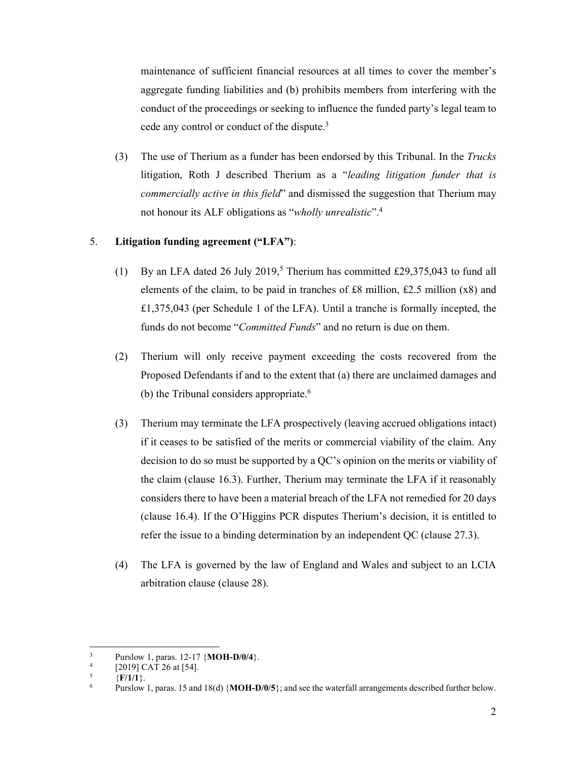maintenance of sufficient financial resources at all times to cover the member's aggregate funding liabilities and (b) prohibits members from interfering with the conduct of the proceedings or seeking to influence the funded party's legal team to cede any control or conduct of the dispute.3

(3) The use of Therium as a funder has been endorsed by this Tribunal. In the *Trucks* litigation, Roth J described Therium as a "*leading litigation funder that is commercially active in this field*" and dismissed the suggestion that Therium may not honour its ALF obligations as "*wholly unrealistic*".4

### 5. **Litigation funding agreement ("LFA")**:

- (1) By an LFA dated 26 July 2019,<sup>5</sup> Therium has committed £29,375,043 to fund all elements of the claim, to be paid in tranches of £8 million, £2.5 million (x8) and £1,375,043 (per Schedule 1 of the LFA). Until a tranche is formally incepted, the funds do not become "*Committed Funds*" and no return is due on them.
- (2) Therium will only receive payment exceeding the costs recovered from the Proposed Defendants if and to the extent that (a) there are unclaimed damages and (b) the Tribunal considers appropriate. $6\overline{ }$
- (3) Therium may terminate the LFA prospectively (leaving accrued obligations intact) if it ceases to be satisfied of the merits or commercial viability of the claim. Any decision to do so must be supported by a QC's opinion on the merits or viability of the claim (clause 16.3). Further, Therium may terminate the LFA if it reasonably considers there to have been a material breach of the LFA not remedied for 20 days (clause 16.4). If the O'Higgins PCR disputes Therium's decision, it is entitled to refer the issue to a binding determination by an independent QC (clause 27.3).
- (4) The LFA is governed by the law of England and Wales and subject to an LCIA arbitration clause (clause 28).

<sup>3</sup> <sup>3</sup> Purslow 1, paras. 12-17  $\{MOH-D/0/4\}$ .<br><sup>4</sup> D0191 CAT 26 at 541

<sup>[2019]</sup> CAT 26 at [54].

<sup>5</sup>  $\frac{5}{6}$  {**F/1/1**}.

Purslow 1, paras. 15 and 18(d) {**MOH-D/0/5**}; and see the waterfall arrangements described further below.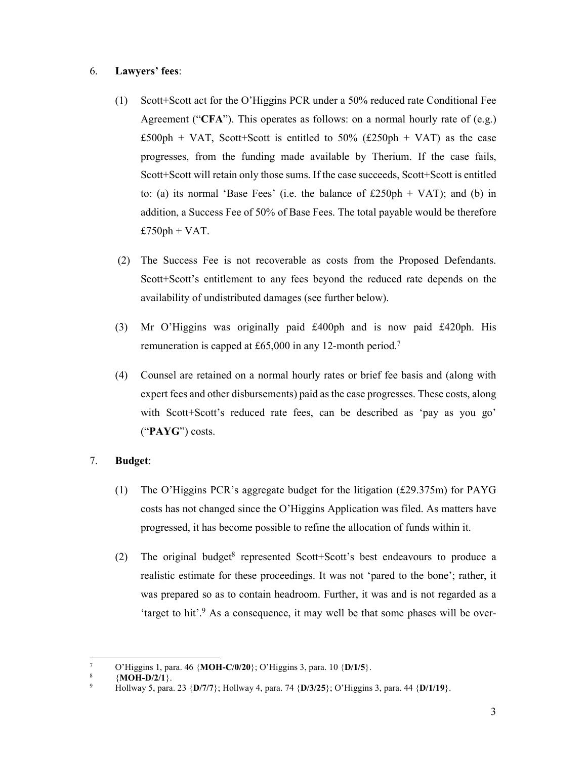### 6. **Lawyers' fees**:

- (1) Scott+Scott act for the O'Higgins PCR under a 50% reduced rate Conditional Fee Agreement ("**CFA**"). This operates as follows: on a normal hourly rate of (e.g.) £500ph + VAT, Scott+Scott is entitled to 50% (£250ph + VAT) as the case progresses, from the funding made available by Therium. If the case fails, Scott+Scott will retain only those sums. If the case succeeds, Scott+Scott is entitled to: (a) its normal 'Base Fees' (i.e. the balance of  $£250ph + VAT$ ); and (b) in addition, a Success Fee of 50% of Base Fees. The total payable would be therefore  $£750ph + VAT.$
- (2) The Success Fee is not recoverable as costs from the Proposed Defendants. Scott+Scott's entitlement to any fees beyond the reduced rate depends on the availability of undistributed damages (see further below).
- (3) Mr O'Higgins was originally paid £400ph and is now paid £420ph. His remuneration is capped at £65,000 in any 12-month period.7
- (4) Counsel are retained on a normal hourly rates or brief fee basis and (along with expert fees and other disbursements) paid as the case progresses. These costs, along with Scott+Scott's reduced rate fees, can be described as 'pay as you go' ("**PAYG**") costs.

### 7. **Budget**:

- (1) The O'Higgins PCR's aggregate budget for the litigation (£29.375m) for PAYG costs has not changed since the O'Higgins Application was filed. As matters have progressed, it has become possible to refine the allocation of funds within it.
- (2) The original budget<sup>8</sup> represented Scott+Scott's best endeavours to produce a realistic estimate for these proceedings. It was not 'pared to the bone'; rather, it was prepared so as to contain headroom. Further, it was and is not regarded as a 'target to hit'.<sup>9</sup> As a consequence, it may well be that some phases will be over-

<sup>7</sup> <sup>7</sup> O'Higgins 1, para. 46 {**MOH-C/0/20**}; O'Higgins 3, para. 10 {**D/1/5**}. **8 MOH D/2/1**}

 <sup>{</sup>**MOH-D/2/1**}.

<sup>9</sup> Hollway 5, para. 23 {**D/7/7**}; Hollway 4, para. 74 {**D/3/25**}; O'Higgins 3, para. 44 {**D/1/19**}.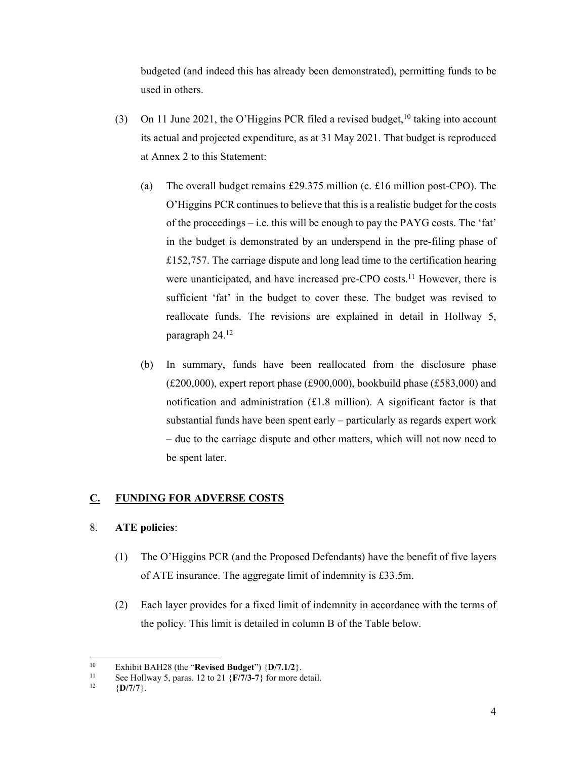budgeted (and indeed this has already been demonstrated), permitting funds to be used in others.

- (3) On 11 June 2021, the O'Higgins PCR filed a revised budget,<sup>10</sup> taking into account its actual and projected expenditure, as at 31 May 2021. That budget is reproduced at Annex 2 to this Statement:
	- (a) The overall budget remains £29.375 million (c. £16 million post-CPO). The O'Higgins PCR continues to believe that this is a realistic budget for the costs of the proceedings – i.e. this will be enough to pay the PAYG costs. The 'fat' in the budget is demonstrated by an underspend in the pre-filing phase of £152,757. The carriage dispute and long lead time to the certification hearing were unanticipated, and have increased pre-CPO costs.<sup>11</sup> However, there is sufficient 'fat' in the budget to cover these. The budget was revised to reallocate funds. The revisions are explained in detail in Hollway 5, paragraph 24.12
	- (b) In summary, funds have been reallocated from the disclosure phase ( $£200,000$ ), expert report phase ( $£900,000$ ), bookbuild phase (£583,000) and notification and administration  $(f1.8 \text{ million})$ . A significant factor is that substantial funds have been spent early – particularly as regards expert work – due to the carriage dispute and other matters, which will not now need to be spent later.

# **C. FUNDING FOR ADVERSE COSTS**

# 8. **ATE policies**:

- (1) The O'Higgins PCR (and the Proposed Defendants) have the benefit of five layers of ATE insurance. The aggregate limit of indemnity is £33.5m.
- (2) Each layer provides for a fixed limit of indemnity in accordance with the terms of the policy. This limit is detailed in column B of the Table below.

 $10<sup>10</sup>$ 

<sup>10</sup> Exhibit BAH28 (the "**Revised Budget**") {**D/7.1/2**}.<br>
11 See Hollway 5, paras. 12 to 21 {**F/7/3-7**} for more detail.<br>
12 {**D/7/7**}.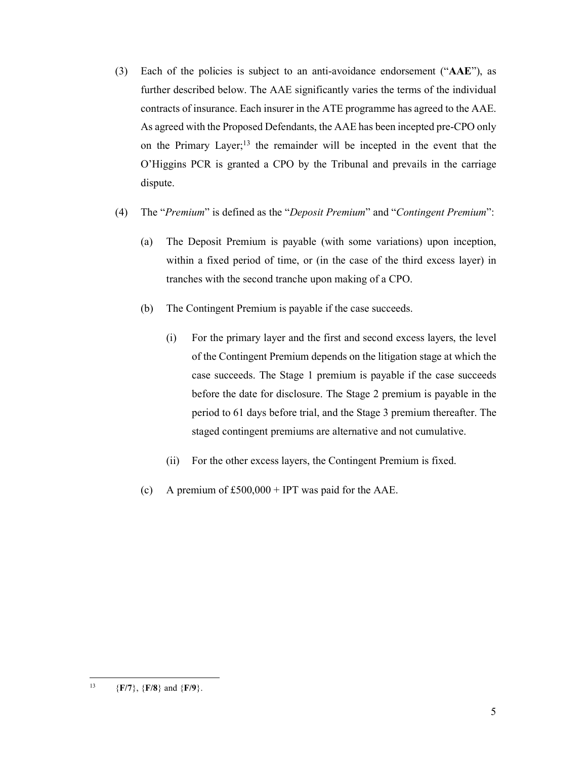- (3) Each of the policies is subject to an anti-avoidance endorsement ("**AAE**"), as further described below. The AAE significantly varies the terms of the individual contracts of insurance. Each insurer in the ATE programme has agreed to the AAE. As agreed with the Proposed Defendants, the AAE has been incepted pre-CPO only on the Primary Layer;<sup>13</sup> the remainder will be incepted in the event that the O'Higgins PCR is granted a CPO by the Tribunal and prevails in the carriage dispute.
- (4) The "*Premium*" is defined as the "*Deposit Premium*" and "*Contingent Premium*":
	- (a) The Deposit Premium is payable (with some variations) upon inception, within a fixed period of time, or (in the case of the third excess layer) in tranches with the second tranche upon making of a CPO.
	- (b) The Contingent Premium is payable if the case succeeds.
		- (i) For the primary layer and the first and second excess layers, the level of the Contingent Premium depends on the litigation stage at which the case succeeds. The Stage 1 premium is payable if the case succeeds before the date for disclosure. The Stage 2 premium is payable in the period to 61 days before trial, and the Stage 3 premium thereafter. The staged contingent premiums are alternative and not cumulative.
		- (ii) For the other excess layers, the Contingent Premium is fixed.
	- (c) A premium of  $£500,000 + IPT$  was paid for the AAE.

 $13$ 13 {**F/7**}, {**F/8**} and {**F/9**}.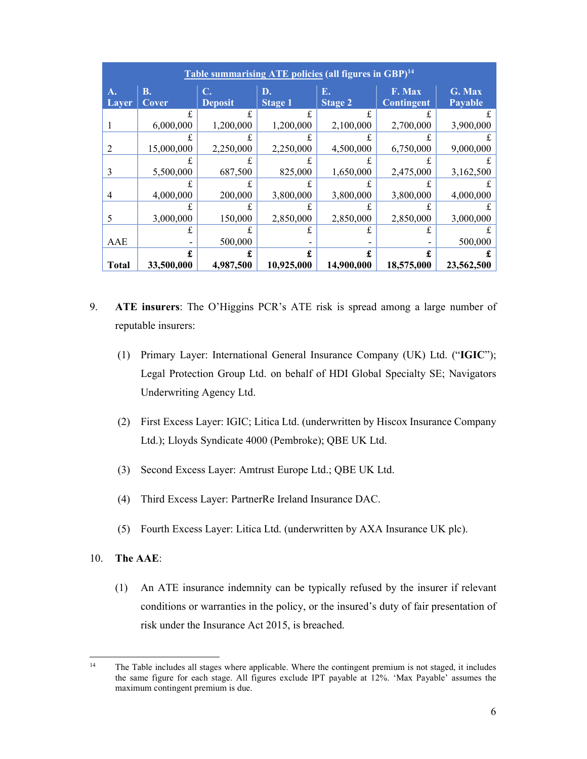|              |            |                |                | Table summarising ATE policies (all figures in GBP) <sup>14</sup> |                   |                |
|--------------|------------|----------------|----------------|-------------------------------------------------------------------|-------------------|----------------|
| A.           | <b>B.</b>  | C.             | D.             | Е.                                                                | F. Max            | G. Max         |
| <b>Layer</b> | Cover      | <b>Deposit</b> | <b>Stage 1</b> | <b>Stage 2</b>                                                    | <b>Contingent</b> | <b>Payable</b> |
|              |            | £              | £              | £                                                                 |                   |                |
|              | 6,000,000  | 1,200,000      | 1,200,000      | 2,100,000                                                         | 2,700,000         | 3,900,000      |
|              |            |                |                |                                                                   |                   |                |
| 2            | 15,000,000 | 2,250,000      | 2,250,000      | 4,500,000                                                         | 6,750,000         | 9,000,000      |
|              |            |                |                |                                                                   |                   |                |
| 3            | 5,500,000  | 687,500        | 825,000        | 1,650,000                                                         | 2,475,000         | 3,162,500      |
|              |            |                |                |                                                                   |                   |                |
| 4            | 4,000,000  | 200,000        | 3,800,000      | 3,800,000                                                         | 3,800,000         | 4,000,000      |
|              |            |                |                |                                                                   |                   |                |
| 5            | 3,000,000  | 150,000        | 2,850,000      | 2,850,000                                                         | 2,850,000         | 3,000,000      |
|              |            |                | £              |                                                                   |                   |                |
| AAE          |            | 500,000        |                |                                                                   |                   | 500,000        |
|              |            |                |                | £                                                                 | £                 |                |
| <b>Total</b> | 33,500,000 | 4,987,500      | 10,925,000     | 14,900,000                                                        | 18,575,000        | 23,562,500     |

- 9. **ATE insurers**: The O'Higgins PCR's ATE risk is spread among a large number of reputable insurers:
	- (1) Primary Layer: International General Insurance Company (UK) Ltd. ("**IGIC**"); Legal Protection Group Ltd. on behalf of HDI Global Specialty SE; Navigators Underwriting Agency Ltd.
	- (2) First Excess Layer: IGIC; Litica Ltd. (underwritten by Hiscox Insurance Company Ltd.); Lloyds Syndicate 4000 (Pembroke); QBE UK Ltd.
	- (3) Second Excess Layer: Amtrust Europe Ltd.; QBE UK Ltd.
	- (4) Third Excess Layer: PartnerRe Ireland Insurance DAC.
	- (5) Fourth Excess Layer: Litica Ltd. (underwritten by AXA Insurance UK plc).
- 10. **The AAE**:
	- (1) An ATE insurance indemnity can be typically refused by the insurer if relevant conditions or warranties in the policy, or the insured's duty of fair presentation of risk under the Insurance Act 2015, is breached.

 $14$ The Table includes all stages where applicable. Where the contingent premium is not staged, it includes the same figure for each stage. All figures exclude IPT payable at 12%. 'Max Payable' assumes the maximum contingent premium is due.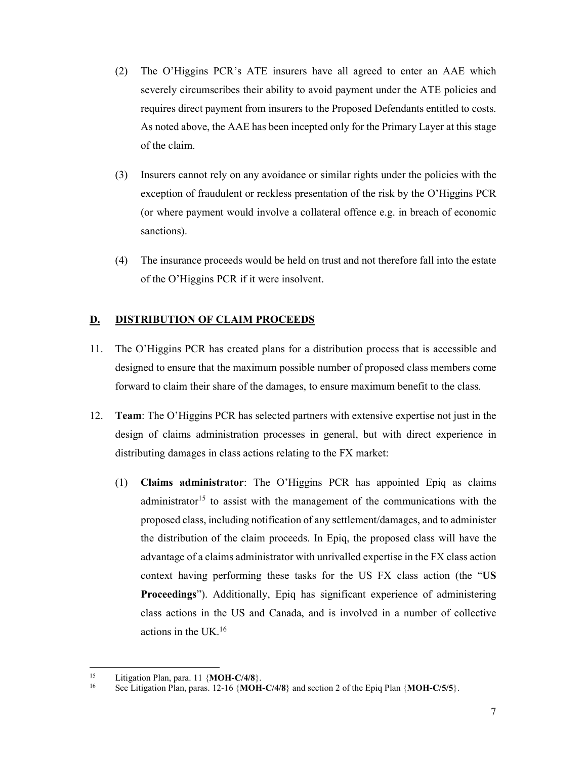- (2) The O'Higgins PCR's ATE insurers have all agreed to enter an AAE which severely circumscribes their ability to avoid payment under the ATE policies and requires direct payment from insurers to the Proposed Defendants entitled to costs. As noted above, the AAE has been incepted only for the Primary Layer at this stage of the claim.
- (3) Insurers cannot rely on any avoidance or similar rights under the policies with the exception of fraudulent or reckless presentation of the risk by the O'Higgins PCR (or where payment would involve a collateral offence e.g. in breach of economic sanctions).
- (4) The insurance proceeds would be held on trust and not therefore fall into the estate of the O'Higgins PCR if it were insolvent.

## **D. DISTRIBUTION OF CLAIM PROCEEDS**

- 11. The O'Higgins PCR has created plans for a distribution process that is accessible and designed to ensure that the maximum possible number of proposed class members come forward to claim their share of the damages, to ensure maximum benefit to the class.
- 12. **Team**: The O'Higgins PCR has selected partners with extensive expertise not just in the design of claims administration processes in general, but with direct experience in distributing damages in class actions relating to the FX market:
	- (1) **Claims administrator**: The O'Higgins PCR has appointed Epiq as claims administrator<sup>15</sup> to assist with the management of the communications with the proposed class, including notification of any settlement/damages, and to administer the distribution of the claim proceeds. In Epiq, the proposed class will have the advantage of a claims administrator with unrivalled expertise in the FX class action context having performing these tasks for the US FX class action (the "**US Proceedings**"). Additionally, Epiq has significant experience of administering class actions in the US and Canada, and is involved in a number of collective actions in the UK.16

<sup>&</sup>lt;sup>15</sup> Litigation Plan, para. 11 {**MOH-C/4/8**}.<br><sup>16</sup> See Litigation Plan, paras. 12-16 {**MOH-C/4/8**} and section 2 of the Epiq Plan {**MOH-C/5/5**}.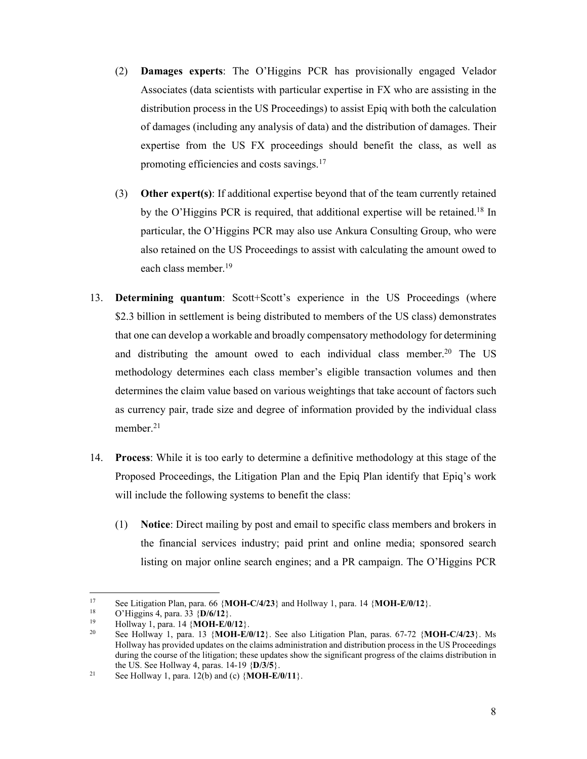- (2) **Damages experts**: The O'Higgins PCR has provisionally engaged Velador Associates (data scientists with particular expertise in FX who are assisting in the distribution process in the US Proceedings) to assist Epiq with both the calculation of damages (including any analysis of data) and the distribution of damages. Their expertise from the US FX proceedings should benefit the class, as well as promoting efficiencies and costs savings.<sup>17</sup>
- (3) **Other expert(s)**: If additional expertise beyond that of the team currently retained by the O'Higgins PCR is required, that additional expertise will be retained.18 In particular, the O'Higgins PCR may also use Ankura Consulting Group, who were also retained on the US Proceedings to assist with calculating the amount owed to each class member.19
- 13. **Determining quantum**: Scott+Scott's experience in the US Proceedings (where \$2.3 billion in settlement is being distributed to members of the US class) demonstrates that one can develop a workable and broadly compensatory methodology for determining and distributing the amount owed to each individual class member.<sup>20</sup> The US methodology determines each class member's eligible transaction volumes and then determines the claim value based on various weightings that take account of factors such as currency pair, trade size and degree of information provided by the individual class member. $21$
- 14. **Process**: While it is too early to determine a definitive methodology at this stage of the Proposed Proceedings, the Litigation Plan and the Epiq Plan identify that Epiq's work will include the following systems to benefit the class:
	- (1) **Notice**: Direct mailing by post and email to specific class members and brokers in the financial services industry; paid print and online media; sponsored search listing on major online search engines; and a PR campaign. The O'Higgins PCR

 $17$ 

<sup>&</sup>lt;sup>17</sup> See Litigation Plan, para. 66 {**MOH-C/4/23**} and Hollway 1, para. 14 {**MOH-E/0/12**}.<br>
<sup>18</sup> O'Higgins 4, para. 33 {**D/6/12**}.<br>
<sup>19</sup> Hollway 1, para. 14 {**MOH-E/0/12**}.<br>
See Hollway 1, para. 13 {**MOH-E/0/12**}. See also Hollway has provided updates on the claims administration and distribution process in the US Proceedings during the course of the litigation; these updates show the significant progress of the claims distribution in the US. See Hollway 4, paras. 14-19  $\{D/3/5\}$ .<br><sup>21</sup> See Hollway 1, para. 12(b) and (c)  $\{MOH-E/0/11\}$ .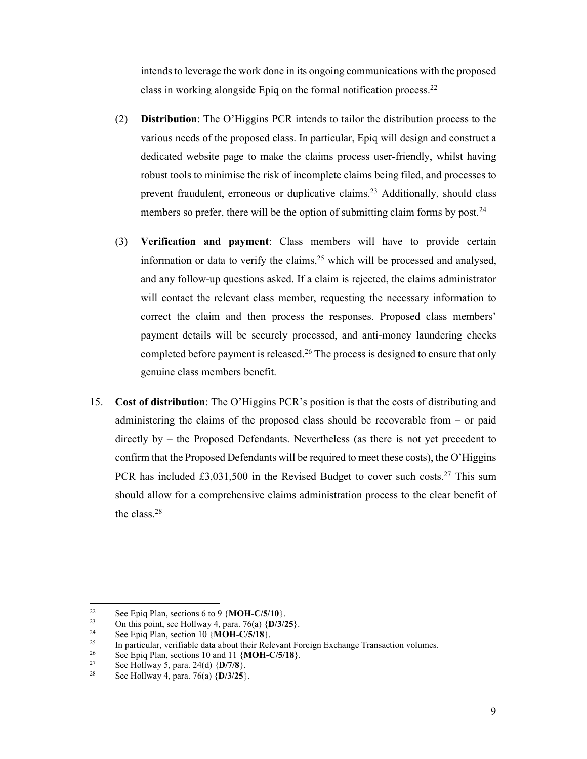intends to leverage the work done in its ongoing communications with the proposed class in working alongside Epiq on the formal notification process.22

- (2) **Distribution**: The O'Higgins PCR intends to tailor the distribution process to the various needs of the proposed class. In particular, Epiq will design and construct a dedicated website page to make the claims process user-friendly, whilst having robust tools to minimise the risk of incomplete claims being filed, and processes to prevent fraudulent, erroneous or duplicative claims.<sup>23</sup> Additionally, should class members so prefer, there will be the option of submitting claim forms by post.<sup>24</sup>
- (3) **Verification and payment**: Class members will have to provide certain information or data to verify the claims,  $2^5$  which will be processed and analysed, and any follow-up questions asked. If a claim is rejected, the claims administrator will contact the relevant class member, requesting the necessary information to correct the claim and then process the responses. Proposed class members' payment details will be securely processed, and anti-money laundering checks completed before payment is released.<sup>26</sup> The process is designed to ensure that only genuine class members benefit.
- 15. **Cost of distribution**: The O'Higgins PCR's position is that the costs of distributing and administering the claims of the proposed class should be recoverable from – or paid directly by – the Proposed Defendants. Nevertheless (as there is not yet precedent to confirm that the Proposed Defendants will be required to meet these costs), the O'Higgins PCR has included  $\text{\pounds}3,031,500$  in the Revised Budget to cover such costs.<sup>27</sup> This sum should allow for a comprehensive claims administration process to the clear benefit of the class.28

See Epiq Plan, sections 6 to 9 {**MOH-C/5/10**}.<br>
On this point, see Hollway 4, para. 76(a) {**D/3/25**}.<br>
See Epiq Plan, section 10 {**MOH-C/5/18**}.<br>
In particular, verifiable data about their Relevant Foreign Exchange Transa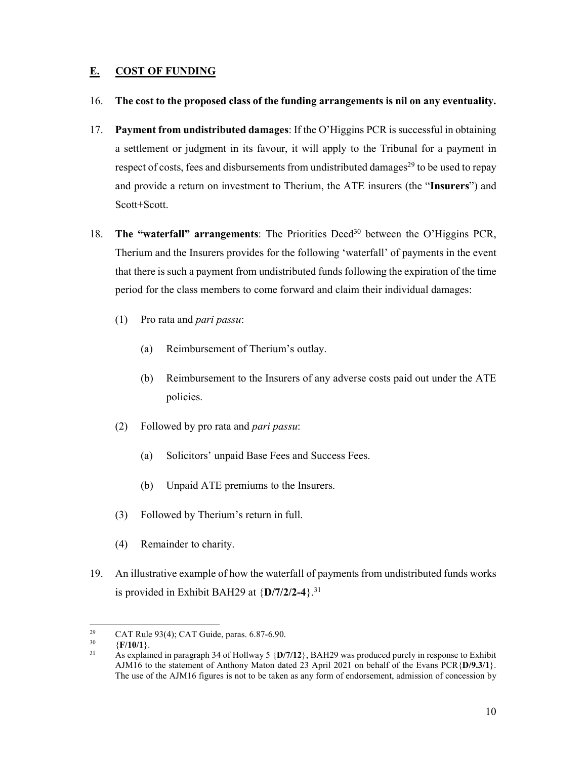## **E. COST OF FUNDING**

- 16. **The cost to the proposed class of the funding arrangements is nil on any eventuality.**
- 17. **Payment from undistributed damages**: If the O'Higgins PCR is successful in obtaining a settlement or judgment in its favour, it will apply to the Tribunal for a payment in respect of costs, fees and disbursements from undistributed damages<sup>29</sup> to be used to repay and provide a return on investment to Therium, the ATE insurers (the "**Insurers**") and Scott+Scott.
- 18. **The "waterfall" arrangements**: The Priorities Deed30 between the O'Higgins PCR, Therium and the Insurers provides for the following 'waterfall' of payments in the event that there is such a payment from undistributed funds following the expiration of the time period for the class members to come forward and claim their individual damages:
	- (1) Pro rata and *pari passu*:
		- (a) Reimbursement of Therium's outlay.
		- (b) Reimbursement to the Insurers of any adverse costs paid out under the ATE policies.
	- (2) Followed by pro rata and *pari passu*:
		- (a) Solicitors' unpaid Base Fees and Success Fees.
		- (b) Unpaid ATE premiums to the Insurers.
	- (3) Followed by Therium's return in full.
	- (4) Remainder to charity.
- 19. An illustrative example of how the waterfall of payments from undistributed funds works is provided in Exhibit BAH29 at  ${D/7/2/2-4}$ .<sup>31</sup>

<sup>29</sup> <sup>29</sup> CAT Rule 93(4); CAT Guide, paras. 6.87-6.90.<br><sup>30</sup>  $(F/10/1)$ 

<sup>30 {</sup>**F/10/1**}. 31 As explained in paragraph 34 of Hollway 5 {**D/7/12**}, BAH29 was produced purely in response to Exhibit AJM16 to the statement of Anthony Maton dated 23 April 2021 on behalf of the Evans PCR{**D/9.3/1**}. The use of the AJM16 figures is not to be taken as any form of endorsement, admission of concession by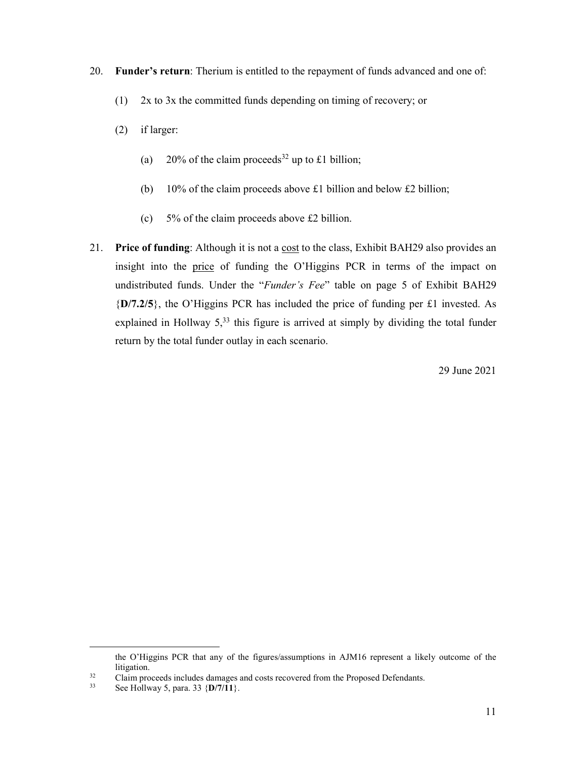- 20. **Funder's return**: Therium is entitled to the repayment of funds advanced and one of:
	- (1) 2x to 3x the committed funds depending on timing of recovery; or
	- (2) if larger:
		- (a) 20% of the claim proceeds<sup>32</sup> up to £1 billion;
		- (b) 10% of the claim proceeds above £1 billion and below £2 billion;
		- (c) 5% of the claim proceeds above £2 billion.
- 21. **Price of funding**: Although it is not a cost to the class, Exhibit BAH29 also provides an insight into the price of funding the O'Higgins PCR in terms of the impact on undistributed funds. Under the "*Funder's Fee*" table on page 5 of Exhibit BAH29 {**D/7.2/5**}, the O'Higgins PCR has included the price of funding per £1 invested. As explained in Hollway  $5<sup>33</sup>$ , this figure is arrived at simply by dividing the total funder return by the total funder outlay in each scenario.

29 June 2021

the O'Higgins PCR that any of the figures/assumptions in AJM16 represent a likely outcome of the

litigation.<br>
23 Claim proceeds includes damages and costs recovered from the Proposed Defendants.<br>
33 See Hollway 5, para. 33 {**D/7/11**}.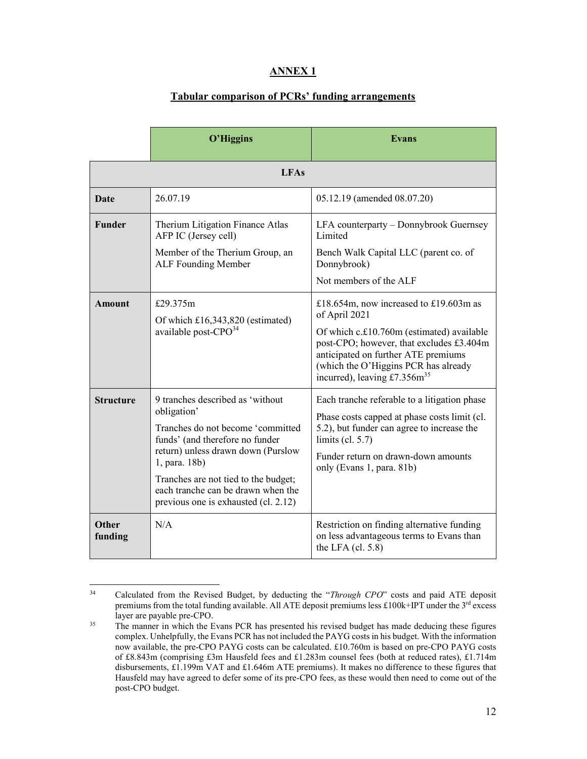# **ANNEX 1**

## **Tabular comparison of PCRs' funding arrangements**

|                  | O'Higgins                                                                                                                                                                                                                                                                                            | <b>Evans</b>                                                                                                                                                                                                                                                      |  |  |  |  |  |
|------------------|------------------------------------------------------------------------------------------------------------------------------------------------------------------------------------------------------------------------------------------------------------------------------------------------------|-------------------------------------------------------------------------------------------------------------------------------------------------------------------------------------------------------------------------------------------------------------------|--|--|--|--|--|
|                  | <b>LFAs</b>                                                                                                                                                                                                                                                                                          |                                                                                                                                                                                                                                                                   |  |  |  |  |  |
| <b>Date</b>      | 26.07.19                                                                                                                                                                                                                                                                                             | 05.12.19 (amended 08.07.20)                                                                                                                                                                                                                                       |  |  |  |  |  |
| <b>Funder</b>    | Therium Litigation Finance Atlas<br>AFP IC (Jersey cell)<br>Member of the Therium Group, an<br>ALF Founding Member                                                                                                                                                                                   | LFA counterparty - Donnybrook Guernsey<br>Limited<br>Bench Walk Capital LLC (parent co. of<br>Donnybrook)<br>Not members of the ALF                                                                                                                               |  |  |  |  |  |
| <b>Amount</b>    | £29.375m<br>Of which $£16,343,820$ (estimated)<br>available post-CPO <sup>34</sup>                                                                                                                                                                                                                   | £18.654m, now increased to £19.603m as<br>of April 2021<br>Of which c.£10.760m (estimated) available<br>post-CPO; however, that excludes £3.404m<br>anticipated on further ATE premiums<br>(which the O'Higgins PCR has already<br>incurred), leaving $£7.356m35$ |  |  |  |  |  |
| <b>Structure</b> | 9 tranches described as 'without<br>obligation'<br>Tranches do not become 'committed<br>funds' (and therefore no funder<br>return) unless drawn down (Purslow<br>1, para. 18b)<br>Tranches are not tied to the budget;<br>each tranche can be drawn when the<br>previous one is exhausted (cl. 2.12) | Each tranche referable to a litigation phase<br>Phase costs capped at phase costs limit (cl.<br>5.2), but funder can agree to increase the<br>limits (cl. $5.7$ )<br>Funder return on drawn-down amounts<br>only (Evans 1, para. 81b)                             |  |  |  |  |  |
| Other<br>funding | N/A                                                                                                                                                                                                                                                                                                  | Restriction on finding alternative funding<br>on less advantageous terms to Evans than<br>the LFA $(cl. 5.8)$                                                                                                                                                     |  |  |  |  |  |

 $34$ 34 Calculated from the Revised Budget, by deducting the "*Through CPO*" costs and paid ATE deposit premiums from the total funding available. All ATE deposit premiums less £100k+IPT under the  $3^{rd}$  excess layer are payable pre-CPO.<br>35 The manner in which the Evans PCR has presented his revised budget has made deducing these figures

complex. Unhelpfully, the Evans PCR has not included the PAYG costs in his budget. With the information now available, the pre-CPO PAYG costs can be calculated. £10.760m is based on pre-CPO PAYG costs of £8.843m (comprising £3m Hausfeld fees and £1.283m counsel fees (both at reduced rates), £1.714m disbursements, £1.199m VAT and £1.646m ATE premiums). It makes no difference to these figures that Hausfeld may have agreed to defer some of its pre-CPO fees, as these would then need to come out of the post-CPO budget.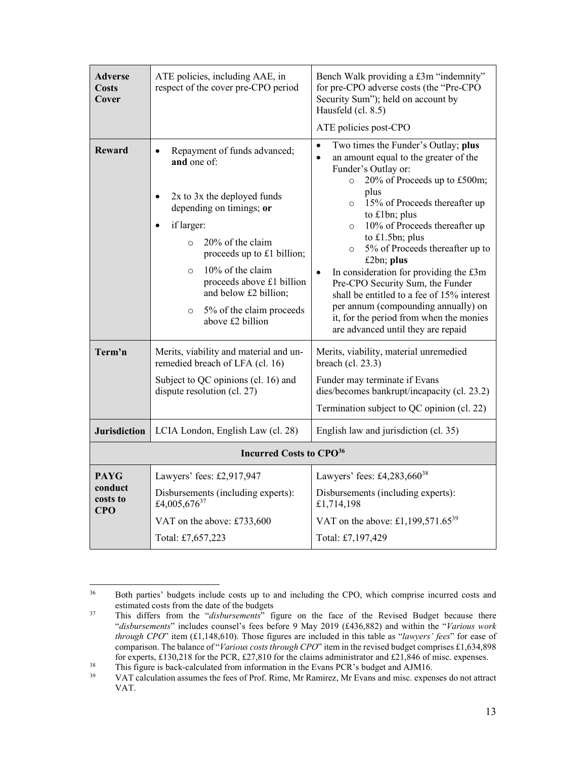| $\bullet$<br><b>Reward</b><br>Repayment of funds advanced;<br>$\bullet$<br>$\bullet$<br>and one of:<br>Funder's Outlay or:<br>$\circ$<br>plus<br>2x to 3x the deployed funds<br>$\bullet$<br>$\circ$<br>depending on timings; or<br>to £1bn; plus<br>if larger:<br>$\circ$<br>to £1.5bn; plus<br>20% of the claim<br>$\circ$<br>$\circ$<br>proceeds up to £1 billion;<br>£2bn; plus<br>10% of the claim<br>$\circ$<br>٠<br>proceeds above £1 billion<br>Pre-CPO Security Sum, the Funder<br>and below £2 billion;<br>5% of the claim proceeds<br>$\circ$<br>above £2 billion<br>are advanced until they are repaid<br>Term'n<br>Merits, viability and material and un-<br>Merits, viability, material unremedied<br>remedied breach of LFA (cl. 16)<br>breach (cl. 23.3)<br>Subject to QC opinions (cl. 16) and<br>Funder may terminate if Evans<br>dispute resolution (cl. 27)<br><b>Jurisdiction</b><br>LCIA London, English Law (cl. 28)<br>English law and jurisdiction (cl. 35)<br><b>Incurred Costs to CPO</b> <sup>36</sup><br>Lawyers' fees: £4,283,660 <sup>38</sup><br><b>PAYG</b><br>Lawyers' fees: £2,917,947<br>conduct<br>Disbursements (including experts):<br>Disbursements (including experts): | <b>Adverse</b><br>Costs<br>Cover | ATE policies, including AAE, in<br>respect of the cover pre-CPO period | Bench Walk providing a £3m "indemnity"<br>for pre-CPO adverse costs (the "Pre-CPO<br>Security Sum"); held on account by<br>Hausfeld (cl. 8.5)<br>ATE policies post-CPO                                                                                                                                                                                                                      |
|------------------------------------------------------------------------------------------------------------------------------------------------------------------------------------------------------------------------------------------------------------------------------------------------------------------------------------------------------------------------------------------------------------------------------------------------------------------------------------------------------------------------------------------------------------------------------------------------------------------------------------------------------------------------------------------------------------------------------------------------------------------------------------------------------------------------------------------------------------------------------------------------------------------------------------------------------------------------------------------------------------------------------------------------------------------------------------------------------------------------------------------------------------------------------------------------------------------|----------------------------------|------------------------------------------------------------------------|---------------------------------------------------------------------------------------------------------------------------------------------------------------------------------------------------------------------------------------------------------------------------------------------------------------------------------------------------------------------------------------------|
|                                                                                                                                                                                                                                                                                                                                                                                                                                                                                                                                                                                                                                                                                                                                                                                                                                                                                                                                                                                                                                                                                                                                                                                                                  |                                  |                                                                        | Two times the Funder's Outlay; plus<br>an amount equal to the greater of the<br>20% of Proceeds up to £500m;<br>15% of Proceeds thereafter up<br>10% of Proceeds thereafter up<br>5% of Proceeds thereafter up to<br>In consideration for providing the £3m<br>shall be entitled to a fee of 15% interest<br>per annum (compounding annually) on<br>it, for the period from when the monies |
|                                                                                                                                                                                                                                                                                                                                                                                                                                                                                                                                                                                                                                                                                                                                                                                                                                                                                                                                                                                                                                                                                                                                                                                                                  |                                  |                                                                        | dies/becomes bankrupt/incapacity (cl. 23.2)                                                                                                                                                                                                                                                                                                                                                 |
|                                                                                                                                                                                                                                                                                                                                                                                                                                                                                                                                                                                                                                                                                                                                                                                                                                                                                                                                                                                                                                                                                                                                                                                                                  |                                  |                                                                        | Termination subject to QC opinion (cl. 22)                                                                                                                                                                                                                                                                                                                                                  |
|                                                                                                                                                                                                                                                                                                                                                                                                                                                                                                                                                                                                                                                                                                                                                                                                                                                                                                                                                                                                                                                                                                                                                                                                                  |                                  |                                                                        |                                                                                                                                                                                                                                                                                                                                                                                             |
|                                                                                                                                                                                                                                                                                                                                                                                                                                                                                                                                                                                                                                                                                                                                                                                                                                                                                                                                                                                                                                                                                                                                                                                                                  |                                  |                                                                        |                                                                                                                                                                                                                                                                                                                                                                                             |
| £1,714,198<br><b>CPO</b><br>VAT on the above: £1,199,571.65 <sup>39</sup><br>VAT on the above: £733,600<br>Total: £7,197,429<br>Total: £7,657,223                                                                                                                                                                                                                                                                                                                                                                                                                                                                                                                                                                                                                                                                                                                                                                                                                                                                                                                                                                                                                                                                | costs to                         | £4,005,676 <sup>37</sup>                                               |                                                                                                                                                                                                                                                                                                                                                                                             |

<sup>36</sup> Both parties' budgets include costs up to and including the CPO, which comprise incurred costs and

estimated costs from the date of the budgets<br><sup>37</sup> This differs from the "*disbursements*" figure on the face of the Revised Budget because there "*disbursements*" includes counsel's fees before 9 May 2019 (£436,882) and within the "*Various work through CPO*" item (£1,148,610). Those figures are included in this table as "*lawyers' fees*" for ease of comparison. The balance of "*Various costs through CPO*" item in the revised budget comprises £1,634,898 for experts, £130,218 for the PCR, £27,810 for the claims administrator and £21,846 of misc. expenses.

This figure is back-calculated from information in the Evans PCR's budget and AJM16.<br>VAT calculation assumes the fees of Prof. Rime, Mr Ramirez, Mr Evans and misc. expenses do not attract VAT.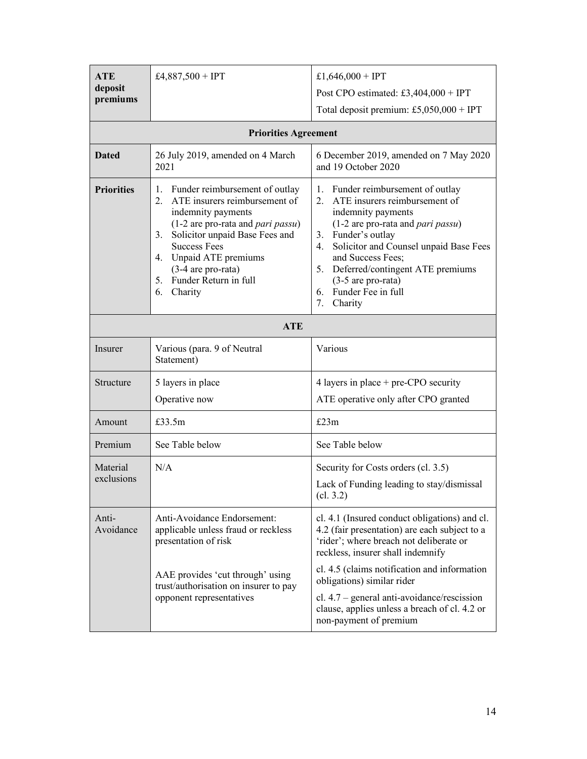| <b>ATE</b>          | £4,887,500 + IPT                                                                                                                                                                                                                                                                                                  | £1,646,000 + IPT                                                                                                                                                                                                                                                                                                                           |  |  |  |  |  |
|---------------------|-------------------------------------------------------------------------------------------------------------------------------------------------------------------------------------------------------------------------------------------------------------------------------------------------------------------|--------------------------------------------------------------------------------------------------------------------------------------------------------------------------------------------------------------------------------------------------------------------------------------------------------------------------------------------|--|--|--|--|--|
| deposit<br>premiums |                                                                                                                                                                                                                                                                                                                   | Post CPO estimated: £3,404,000 + IPT                                                                                                                                                                                                                                                                                                       |  |  |  |  |  |
|                     |                                                                                                                                                                                                                                                                                                                   | Total deposit premium: £5,050,000 + IPT                                                                                                                                                                                                                                                                                                    |  |  |  |  |  |
|                     | <b>Priorities Agreement</b>                                                                                                                                                                                                                                                                                       |                                                                                                                                                                                                                                                                                                                                            |  |  |  |  |  |
| <b>Dated</b>        | 26 July 2019, amended on 4 March<br>2021                                                                                                                                                                                                                                                                          | 6 December 2019, amended on 7 May 2020<br>and 19 October 2020                                                                                                                                                                                                                                                                              |  |  |  |  |  |
| <b>Priorities</b>   | Funder reimbursement of outlay<br>1.<br>ATE insurers reimbursement of<br>2.<br>indemnity payments<br>$(1-2$ are pro-rata and <i>pari passu</i> )<br>Solicitor unpaid Base Fees and<br>3.<br><b>Success Fees</b><br>4. Unpaid ATE premiums<br>$(3-4$ are pro-rata)<br>Funder Return in full<br>5.<br>Charity<br>6. | Funder reimbursement of outlay<br>1.<br>ATE insurers reimbursement of<br>2.<br>indemnity payments<br>(1-2 are pro-rata and pari passu)<br>3. Funder's outlay<br>Solicitor and Counsel unpaid Base Fees<br>4.<br>and Success Fees;<br>5. Deferred/contingent ATE premiums<br>$(3-5$ are pro-rata)<br>6. Funder Fee in full<br>7.<br>Charity |  |  |  |  |  |
|                     | <b>ATE</b>                                                                                                                                                                                                                                                                                                        |                                                                                                                                                                                                                                                                                                                                            |  |  |  |  |  |
| Insurer             | Various (para. 9 of Neutral<br>Statement)                                                                                                                                                                                                                                                                         | Various                                                                                                                                                                                                                                                                                                                                    |  |  |  |  |  |
| Structure           | 5 layers in place                                                                                                                                                                                                                                                                                                 | 4 layers in place $+$ pre-CPO security                                                                                                                                                                                                                                                                                                     |  |  |  |  |  |
|                     | Operative now                                                                                                                                                                                                                                                                                                     | ATE operative only after CPO granted                                                                                                                                                                                                                                                                                                       |  |  |  |  |  |
| Amount              | £33.5m                                                                                                                                                                                                                                                                                                            | £23m                                                                                                                                                                                                                                                                                                                                       |  |  |  |  |  |
| Premium             | See Table below                                                                                                                                                                                                                                                                                                   | See Table below                                                                                                                                                                                                                                                                                                                            |  |  |  |  |  |
| Material            | N/A                                                                                                                                                                                                                                                                                                               | Security for Costs orders (cl. 3.5)                                                                                                                                                                                                                                                                                                        |  |  |  |  |  |
| exclusions          |                                                                                                                                                                                                                                                                                                                   | Lack of Funding leading to stay/dismissal<br>cl. 3.2)                                                                                                                                                                                                                                                                                      |  |  |  |  |  |
| Anti-<br>Avoidance  | Anti-Avoidance Endorsement:<br>applicable unless fraud or reckless<br>presentation of risk                                                                                                                                                                                                                        | cl. 4.1 (Insured conduct obligations) and cl.<br>4.2 (fair presentation) are each subject to a<br>'rider'; where breach not deliberate or<br>reckless, insurer shall indemnify                                                                                                                                                             |  |  |  |  |  |
|                     | AAE provides 'cut through' using<br>trust/authorisation on insurer to pay                                                                                                                                                                                                                                         | cl. 4.5 (claims notification and information<br>obligations) similar rider                                                                                                                                                                                                                                                                 |  |  |  |  |  |
|                     | opponent representatives                                                                                                                                                                                                                                                                                          | cl. $4.7$ – general anti-avoidance/rescission<br>clause, applies unless a breach of cl. 4.2 or<br>non-payment of premium                                                                                                                                                                                                                   |  |  |  |  |  |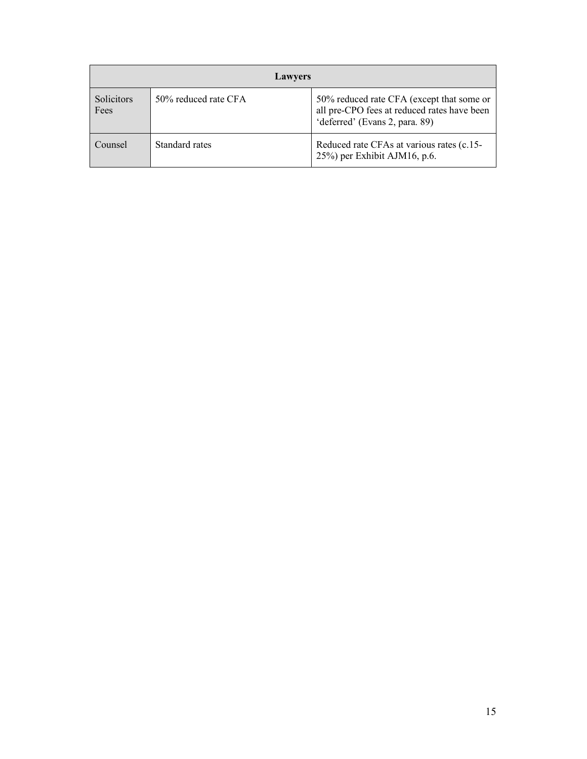|                           | <b>Lawyers</b>       |                                                                                                                            |  |  |  |  |  |  |  |
|---------------------------|----------------------|----------------------------------------------------------------------------------------------------------------------------|--|--|--|--|--|--|--|
| <b>Solicitors</b><br>Fees | 50% reduced rate CFA | 50% reduced rate CFA (except that some or<br>all pre-CPO fees at reduced rates have been<br>'deferred' (Evans 2, para. 89) |  |  |  |  |  |  |  |
| Counsel                   | Standard rates       | Reduced rate CFAs at various rates (c.15-<br>$25\%$ ) per Exhibit AJM16, p.6.                                              |  |  |  |  |  |  |  |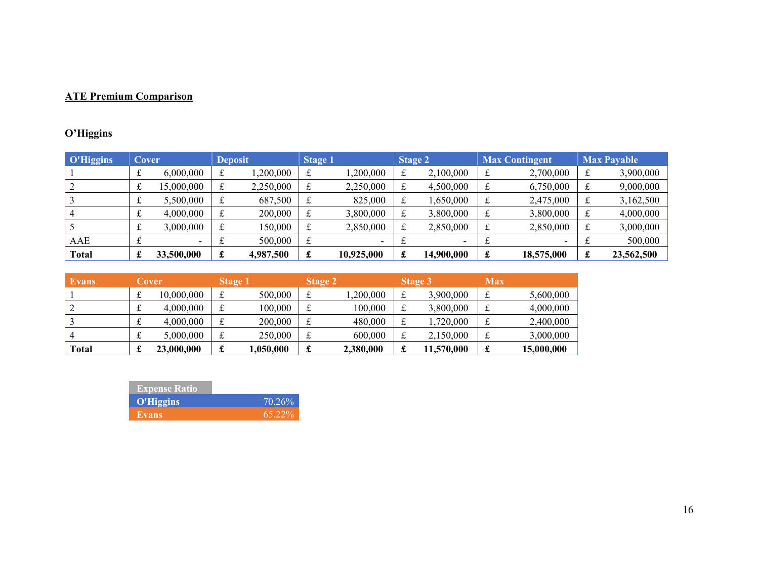# **ATE Premium Comparison**

# **O'Higgins**

| <b>O'Higgins</b> | Cover |            | <b>Deposit</b> |           |   | <b>Stage 1</b>           |    | Stage 2    |   | <b>Max Contingent</b> | <b>Max Payable</b> |            |  |
|------------------|-------|------------|----------------|-----------|---|--------------------------|----|------------|---|-----------------------|--------------------|------------|--|
|                  |       | 6,000,000  | t              | 1,200,000 | £ | 1,200,000                | £  | 2,100,000  | £ | 2,700,000             |                    | 3,900,000  |  |
|                  |       | 15,000,000 | t              | 2,250,000 | £ | 2,250,000                | £  | 4,500,000  | £ | 6,750,000             |                    | 9,000,000  |  |
|                  |       | 5,500,000  |                | 687,500   |   | 825,000                  | £  | 1,650,000  | £ | 2,475,000             |                    | 3,162,500  |  |
|                  |       | 4,000,000  | £              | 200,000   | £ | 3,800,000                | £  | 3,800,000  | £ | 3,800,000             | £                  | 4,000,000  |  |
|                  |       | 3,000,000  | £              | 150,000   | £ | 2,850,000                | £  | 2,850,000  | £ | 2,850,000             | £                  | 3,000,000  |  |
| AAE              |       |            | a.             | 500,000   | £ | $\overline{\phantom{0}}$ | ىم |            |   |                       |                    | 500,000    |  |
| <b>Total</b>     | £     | 33,500,000 | £              | 4,987,500 | £ | 10,925,000               | £  | 14,900,000 | £ | 18,575,000            | £                  | 23,562,500 |  |

| <b>Evans</b> |    | Cover      | Stage 1 |           |    | <b>Stage 2</b> |     | <b>Stage 3</b> | <b>Max</b> |            |
|--------------|----|------------|---------|-----------|----|----------------|-----|----------------|------------|------------|
|              |    | 10,000,000 |         | 500,000   | ىم | ,200,000       | ىلە | 3,900,000      | £          | 5,600,000  |
|              |    | 4,000,000  |         | 100.000   | ىم | 100.000        | ىم  | 3,800,000      | ىل         | 4,000,000  |
|              |    | 4,000,000  |         | 200,000   | ىم | 480,000        | ىمە | 1,720,000      | ىل         | 2,400,000  |
|              | ىم | 5,000,000  |         | 250,000   | ىم | 600,000        | ىم  | 2,150,000      | ىل         | 3,000,000  |
| Total        |    | 23,000,000 | £       | 1.050.000 | ىل | 2,380,000      | d.  | 11,570,000     | ىد         | 15,000,000 |

| <b>Expense Ratio</b> |           |
|----------------------|-----------|
| O'Higgins            | 70.26%    |
| Evans.               | $65.22\%$ |